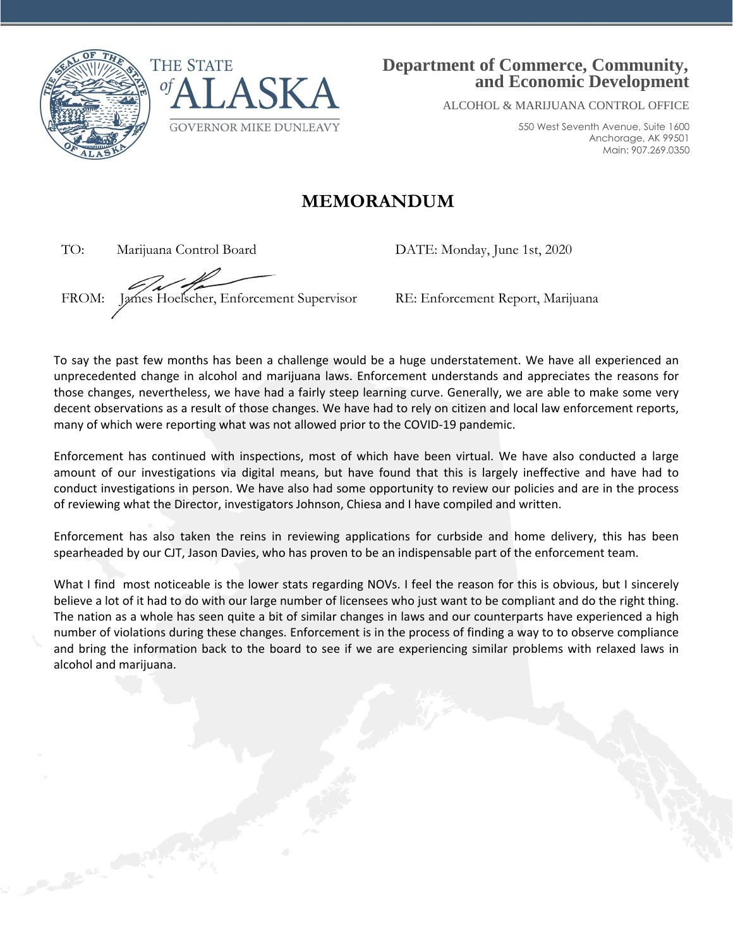



## **Department of Commerce, Community, and Economic Development**

ALCOHOL & MARIJUANA CONTROL OFFICE

550 West Seventh Avenue, Suite 1600 Anchorage, AK 99501 Main: 907.269.0350

## **MEMORANDUM**

TO: Marijuana Control Board DATE: Monday, June 1st, 2020

FROM: James Hoelscher, Enforcement Supervisor RE: Enforcement Report, Marijuana

To say the past few months has been a challenge would be a huge understatement. We have all experienced an unprecedented change in alcohol and marijuana laws. Enforcement understands and appreciates the reasons for those changes, nevertheless, we have had a fairly steep learning curve. Generally, we are able to make some very decent observations as a result of those changes. We have had to rely on citizen and local law enforcement reports, many of which were reporting what was not allowed prior to the COVID-19 pandemic.

Enforcement has continued with inspections, most of which have been virtual. We have also conducted a large amount of our investigations via digital means, but have found that this is largely ineffective and have had to conduct investigations in person. We have also had some opportunity to review our policies and are in the process of reviewing what the Director, investigators Johnson, Chiesa and I have compiled and written.

Enforcement has also taken the reins in reviewing applications for curbside and home delivery, this has been spearheaded by our CJT, Jason Davies, who has proven to be an indispensable part of the enforcement team.

What I find most noticeable is the lower stats regarding NOVs. I feel the reason for this is obvious, but I sincerely believe a lot of it had to do with our large number of licensees who just want to be compliant and do the right thing. The nation as a whole has seen quite a bit of similar changes in laws and our counterparts have experienced a high number of violations during these changes. Enforcement is in the process of finding a way to to observe compliance and bring the information back to the board to see if we are experiencing similar problems with relaxed laws in alcohol and marijuana.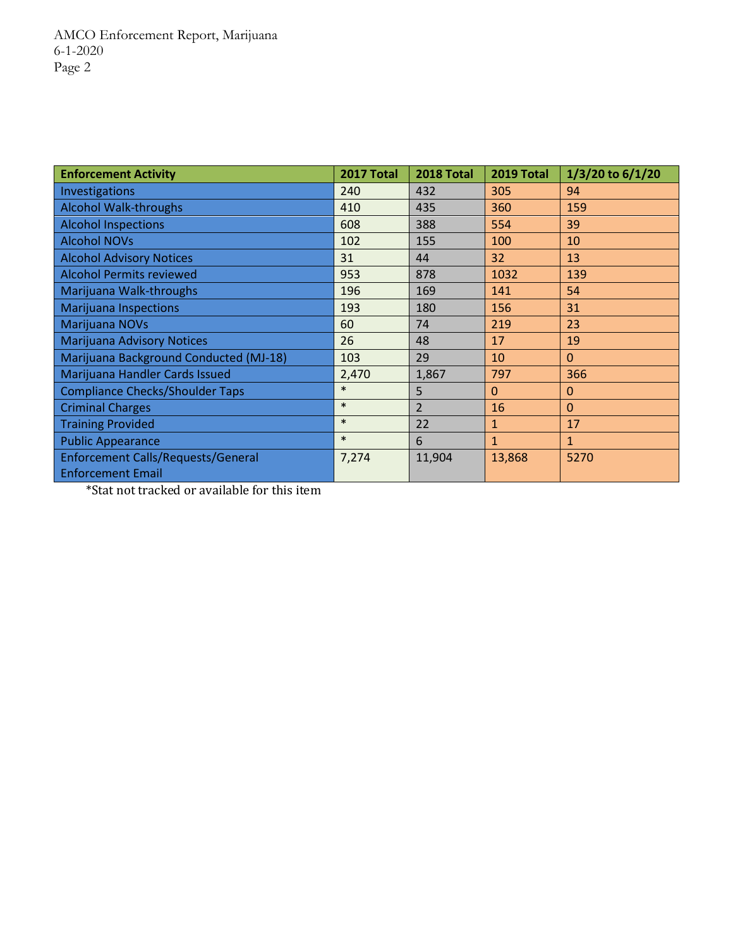| <b>Enforcement Activity</b>               | 2017 Total | 2018 Total     | 2019 Total   | 1/3/20 to 6/1/20 |
|-------------------------------------------|------------|----------------|--------------|------------------|
| Investigations                            | 240        | 432            | 305          | 94               |
| <b>Alcohol Walk-throughs</b>              | 410        | 435            | 360          | 159              |
| <b>Alcohol Inspections</b>                | 608        | 388            | 554          | 39               |
| <b>Alcohol NOVs</b>                       | 102        | 155            | 100          | 10               |
| <b>Alcohol Advisory Notices</b>           | 31         | 44             | 32           | 13               |
| <b>Alcohol Permits reviewed</b>           | 953        | 878            | 1032         | 139              |
| Marijuana Walk-throughs                   | 196        | 169            | 141          | 54               |
| <b>Marijuana Inspections</b>              | 193        | 180            | 156          | 31               |
| Marijuana NOVs                            | 60         | 74             | 219          | 23               |
| <b>Marijuana Advisory Notices</b>         | 26         | 48             | 17           | 19               |
| Marijuana Background Conducted (MJ-18)    | 103        | 29             | 10           | $\Omega$         |
| Marijuana Handler Cards Issued            | 2,470      | 1,867          | 797          | 366              |
| <b>Compliance Checks/Shoulder Taps</b>    | $\ast$     | 5              | $\Omega$     | $\mathbf 0$      |
| <b>Criminal Charges</b>                   | $\ast$     | $\overline{2}$ | 16           | $\mathbf 0$      |
| <b>Training Provided</b>                  | $\ast$     | 22             | $\mathbf{1}$ | 17               |
| <b>Public Appearance</b>                  | $\ast$     | 6              | $\mathbf{1}$ | $\mathbf{1}$     |
| <b>Enforcement Calls/Requests/General</b> | 7,274      | 11,904         | 13,868       | 5270             |
| <b>Enforcement Email</b>                  |            |                |              |                  |

\*Stat not tracked or available for this item